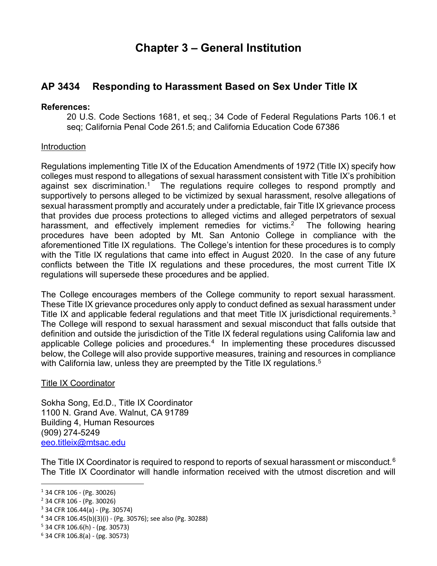# **Chapter 3 – General Institution**

## **AP 3434 Responding to Harassment Based on Sex Under Title IX**

#### **References:**

20 U.S. Code Sections 1681, et seq.; 34 Code of Federal Regulations Parts 106.1 et seq; California Penal Code 261.5; and California Education Code 67386

## Introduction

Regulations implementing Title IX of the Education Amendments of 1972 (Title IX) specify how colleges must respond to allegations of sexual harassment consistent with Title IX's prohibition against sex discrimination.<sup>[1](#page-0-0)</sup> The regulations require colleges to respond promptly and supportively to persons alleged to be victimized by sexual harassment, resolve allegations of sexual harassment promptly and accurately under a predictable, fair Title IX grievance process that provides due process protections to alleged victims and alleged perpetrators of sexual harassment, and effectively implement remedies for victims.<sup>[2](#page-0-1)</sup> The following hearing procedures have been adopted by Mt. San Antonio College in compliance with the aforementioned Title IX regulations. The College's intention for these procedures is to comply with the Title IX regulations that came into effect in August 2020. In the case of any future conflicts between the Title IX regulations and these procedures, the most current Title IX regulations will supersede these procedures and be applied.

The College encourages members of the College community to report sexual harassment. These Title IX grievance procedures only apply to conduct defined as sexual harassment under Title IX and applicable federal regulations and that meet Title IX jurisdictional requirements.<sup>[3](#page-0-2)</sup> The College will respond to sexual harassment and sexual misconduct that falls outside that definition and outside the jurisdiction of the Title IX federal regulations using California law and applicable College policies and procedures. $4\,$  In implementing these procedures discussed below, the College will also provide supportive measures, training and resources in compliance with California law, unless they are preempted by the Title IX regulations.<sup>[5](#page-0-4)</sup>

## Title IX Coordinator

Sokha Song, Ed.D., Title IX Coordinator 1100 N. Grand Ave. Walnut, CA 91789 Building 4, Human Resources (909) 274-5249 [eeo.titleix@mtsac.edu](mailto:eeo.titleix@mtsac.edu)

The Title IX Coordinator is required to respond to reports of sexual harassment or misconduct. $^6$  $^6$ The Title IX Coordinator will handle information received with the utmost discretion and will

<span id="page-0-2"></span> $3$  34 CFR 106.44(a) - (Pg. 30574)

<span id="page-0-4"></span> $5$  34 CFR 106.6(h) - (pg. 30573)

<span id="page-0-0"></span><sup>1</sup> 34 CFR 106 - (Pg. 30026)

<span id="page-0-1"></span><sup>2</sup> 34 CFR 106 - (Pg. 30026)

<span id="page-0-3"></span><sup>4</sup> 34 CFR 106.45(b)(3)(i) - (Pg. 30576); see also (Pg. 30288)

<span id="page-0-5"></span> $6$  34 CFR 106.8(a) - (pg. 30573)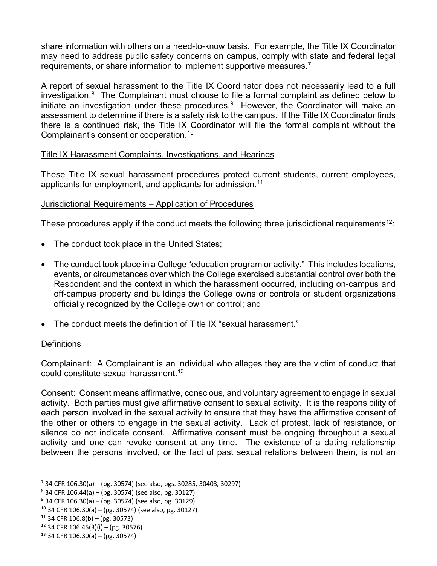share information with others on a need-to-know basis. For example, the Title IX Coordinator may need to address public safety concerns on campus, comply with state and federal legal requirements, or share information to implement supportive measures.<sup>[7](#page-1-0)</sup>

A report of sexual harassment to the Title IX Coordinator does not necessarily lead to a full investigation. $8$  The Complainant must choose to file a formal complaint as defined below to initiate an investigation under these procedures.<sup>[9](#page-1-2)</sup> However, the Coordinator will make an assessment to determine if there is a safety risk to the campus. If the Title IX Coordinator finds there is a continued risk, the Title IX Coordinator will file the formal complaint without the Complainant's consent or cooperation.[10](#page-1-3)

## Title IX Harassment Complaints, Investigations, and Hearings

These Title IX sexual harassment procedures protect current students, current employees, applicants for employment, and applicants for admission.[11](#page-1-4)

## Jurisdictional Requirements – Application of Procedures

These procedures apply if the conduct meets the following three jurisdictional requirements<sup>12</sup>:

- The conduct took place in the United States;
- The conduct took place in a College "education program or activity." This includes locations, events, or circumstances over which the College exercised substantial control over both the Respondent and the context in which the harassment occurred, including on-campus and off-campus property and buildings the College owns or controls or student organizations officially recognized by the College own or control; and
- The conduct meets the definition of Title IX "sexual harassment."

## **Definitions**

Complainant: A Complainant is an individual who alleges they are the victim of conduct that could constitute sexual harassment.<sup>[13](#page-1-6)</sup>

Consent: Consent means affirmative, conscious, and voluntary agreement to engage in sexual activity. Both parties must give affirmative consent to sexual activity. It is the responsibility of each person involved in the sexual activity to ensure that they have the affirmative consent of the other or others to engage in the sexual activity. Lack of protest, lack of resistance, or silence do not indicate consent. Affirmative consent must be ongoing throughout a sexual activity and one can revoke consent at any time. The existence of a dating relationship between the persons involved, or the fact of past sexual relations between them, is not an

<span id="page-1-0"></span> $7$  34 CFR 106.30(a) – (pg. 30574) (see also, pgs. 30285, 30403, 30297)

<span id="page-1-1"></span> $8$  34 CFR 106.44(a) – (pg. 30574) (see also, pg. 30127)

<span id="page-1-2"></span> $9$  34 CFR 106.30(a) – (pg. 30574) (see also, pg. 30129)

<span id="page-1-3"></span> $10$  34 CFR 106.30(a) – (pg. 30574) (see also, pg. 30127)

<span id="page-1-4"></span> $11$  34 CFR 106.8(b) – (pg. 30573)

<span id="page-1-5"></span> $12$  34 CFR 106.45(3)(i) – (pg. 30576)

<span id="page-1-6"></span> $13$  34 CFR 106.30(a) – (pg. 30574)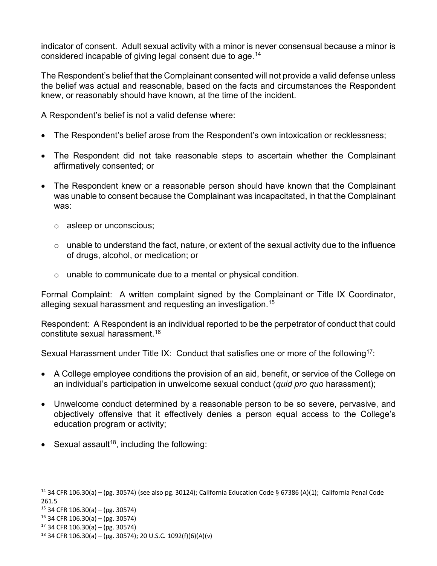indicator of consent. Adult sexual activity with a minor is never consensual because a minor is considered incapable of giving legal consent due to age.[14](#page-2-0)

The Respondent's belief that the Complainant consented will not provide a valid defense unless the belief was actual and reasonable, based on the facts and circumstances the Respondent knew, or reasonably should have known, at the time of the incident.

A Respondent's belief is not a valid defense where:

- The Respondent's belief arose from the Respondent's own intoxication or recklessness;
- The Respondent did not take reasonable steps to ascertain whether the Complainant affirmatively consented; or
- The Respondent knew or a reasonable person should have known that the Complainant was unable to consent because the Complainant was incapacitated, in that the Complainant was:
	- o asleep or unconscious;
	- $\circ$  unable to understand the fact, nature, or extent of the sexual activity due to the influence of drugs, alcohol, or medication; or
	- o unable to communicate due to a mental or physical condition.

Formal Complaint: A written complaint signed by the Complainant or Title IX Coordinator, alleging sexual harassment and requesting an investigation.<sup>15</sup>

Respondent: A Respondent is an individual reported to be the perpetrator of conduct that could constitute sexual harassment.<sup>[16](#page-2-2)</sup>

Sexual Harassment under Title IX: Conduct that satisfies one or more of the following<sup>[17](#page-2-3)</sup>:

- A College employee conditions the provision of an aid, benefit, or service of the College on an individual's participation in unwelcome sexual conduct (*quid pro quo* harassment);
- Unwelcome conduct determined by a reasonable person to be so severe, pervasive, and objectively offensive that it effectively denies a person equal access to the College's education program or activity;
- Sexual assault<sup>18</sup>, including the following:

<span id="page-2-0"></span> $14$  34 CFR 106.30(a) – (pg. 30574) (see also pg. 30124); California Education Code § 67386 (A)(1); California Penal Code 261.5

<span id="page-2-1"></span><sup>15</sup> 34 CFR 106.30(a) – (pg. 30574)

<span id="page-2-2"></span> $16$  34 CFR 106.30(a) – (pg. 30574)

<span id="page-2-3"></span> $17$  34 CFR 106.30(a) – (pg. 30574)

<span id="page-2-4"></span> $18$  34 CFR 106.30(a) – (pg. 30574); 20 U.S.C. 1092(f)(6)(A)(v)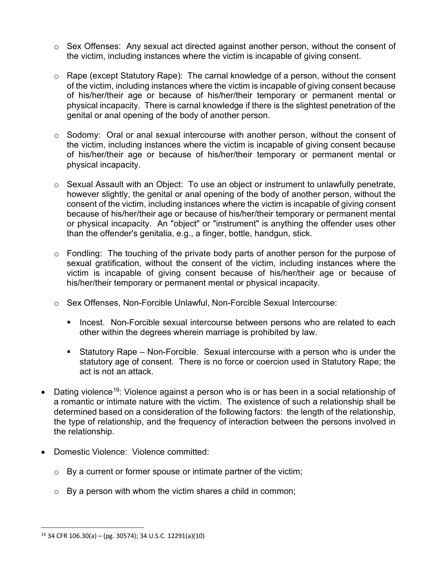- $\circ$  Sex Offenses: Any sexual act directed against another person, without the consent of the victim, including instances where the victim is incapable of giving consent.
- o Rape (except Statutory Rape): The carnal knowledge of a person, without the consent of the victim, including instances where the victim is incapable of giving consent because of his/her/their age or because of his/her/their temporary or permanent mental or physical incapacity. There is carnal knowledge if there is the slightest penetration of the genital or anal opening of the body of another person.
- $\circ$  Sodomy: Oral or anal sexual intercourse with another person, without the consent of the victim, including instances where the victim is incapable of giving consent because of his/her/their age or because of his/her/their temporary or permanent mental or physical incapacity.
- o Sexual Assault with an Object: To use an object or instrument to unlawfully penetrate, however slightly, the genital or anal opening of the body of another person, without the consent of the victim, including instances where the victim is incapable of giving consent because of his/her/their age or because of his/her/their temporary or permanent mental or physical incapacity. An "object" or "instrument" is anything the offender uses other than the offender's genitalia, e.g., a finger, bottle, handgun, stick.
- o Fondling: The touching of the private body parts of another person for the purpose of sexual gratification, without the consent of the victim, including instances where the victim is incapable of giving consent because of his/her/their age or because of his/her/their temporary or permanent mental or physical incapacity.
- o Sex Offenses, Non-Forcible Unlawful, Non-Forcible Sexual Intercourse:
	- **Incest. Non-Forcible sexual intercourse between persons who are related to each** other within the degrees wherein marriage is prohibited by law.
	- Statutory Rape Non-Forcible. Sexual intercourse with a person who is under the statutory age of consent. There is no force or coercion used in Statutory Rape; the act is not an attack.
- Dating violence<sup>19</sup>: Violence against a person who is or has been in a social relationship of a romantic or intimate nature with the victim. The existence of such a relationship shall be determined based on a consideration of the following factors: the length of the relationship, the type of relationship, and the frequency of interaction between the persons involved in the relationship.
- Domestic Violence: Violence committed:
	- $\circ$  By a current or former spouse or intimate partner of the victim;
	- $\circ$  By a person with whom the victim shares a child in common;

<span id="page-3-0"></span> $19$  34 CFR 106.30(a) – (pg. 30574); 34 U.S.C. 12291(a)(10)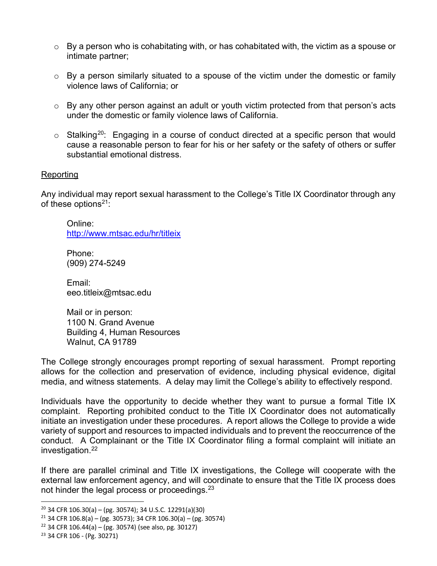- $\circ$  By a person who is cohabitating with, or has cohabitated with, the victim as a spouse or intimate partner;
- o By a person similarly situated to a spouse of the victim under the domestic or family violence laws of California; or
- o By any other person against an adult or youth victim protected from that person's acts under the domestic or family violence laws of California.
- $\circ$  Stalking<sup>[20](#page-4-0)</sup>: Engaging in a course of conduct directed at a specific person that would cause a reasonable person to fear for his or her safety or the safety of others or suffer substantial emotional distress.

#### **Reporting**

Any individual may report sexual harassment to the College's Title IX Coordinator through any of these options<sup>[21](#page-4-1)</sup>:

Online: <http://www.mtsac.edu/hr/titleix>

Phone: (909) 274-5249

Email: eeo.titleix@mtsac.edu

Mail or in person: 1100 N. Grand Avenue Building 4, Human Resources Walnut, CA 91789

The College strongly encourages prompt reporting of sexual harassment. Prompt reporting allows for the collection and preservation of evidence, including physical evidence, digital media, and witness statements. A delay may limit the College's ability to effectively respond.

Individuals have the opportunity to decide whether they want to pursue a formal Title IX complaint. Reporting prohibited conduct to the Title IX Coordinator does not automatically initiate an investigation under these procedures. A report allows the College to provide a wide variety of support and resources to impacted individuals and to prevent the reoccurrence of the conduct. A Complainant or the Title IX Coordinator filing a formal complaint will initiate an investigation.[22](#page-4-2)

If there are parallel criminal and Title IX investigations, the College will cooperate with the external law enforcement agency, and will coordinate to ensure that the Title IX process does not hinder the legal process or proceedings.<sup>[23](#page-4-3)</sup>

<span id="page-4-3"></span><sup>23</sup> 34 CFR 106 - (Pg. 30271)

<span id="page-4-0"></span> $20$  34 CFR 106.30(a) – (pg. 30574); 34 U.S.C. 12291(a)(30)

<span id="page-4-1"></span> $21$  34 CFR 106.8(a) – (pg. 30573); 34 CFR 106.30(a) – (pg. 30574)

<span id="page-4-2"></span> $22$  34 CFR 106.44(a) – (pg. 30574) (see also, pg. 30127)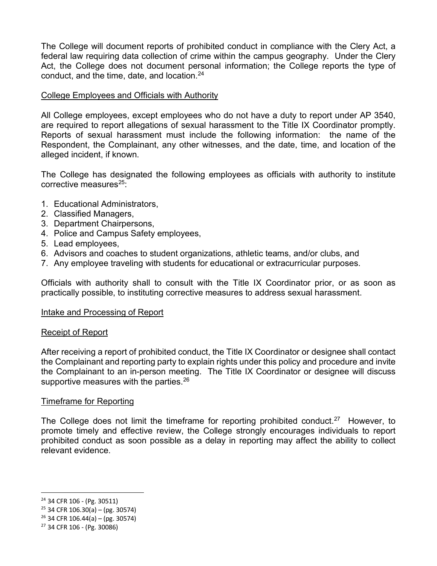The College will document reports of prohibited conduct in compliance with the Clery Act, a federal law requiring data collection of crime within the campus geography. Under the Clery Act, the College does not document personal information; the College reports the type of conduct, and the time, date, and location[.24](#page-5-0)

#### College Employees and Officials with Authority

All College employees, except employees who do not have a duty to report under AP 3540, are required to report allegations of sexual harassment to the Title IX Coordinator promptly. Reports of sexual harassment must include the following information: the name of the Respondent, the Complainant, any other witnesses, and the date, time, and location of the alleged incident, if known.

The College has designated the following employees as officials with authority to institute corrective measures $25$ :

- 1. Educational Administrators,
- 2. Classified Managers,
- 3. Department Chairpersons,
- 4. Police and Campus Safety employees,
- 5. Lead employees,
- 6. Advisors and coaches to student organizations, athletic teams, and/or clubs, and
- 7. Any employee traveling with students for educational or extracurricular purposes.

Officials with authority shall to consult with the Title IX Coordinator prior, or as soon as practically possible, to instituting corrective measures to address sexual harassment.

#### Intake and Processing of Report

#### Receipt of Report

After receiving a report of prohibited conduct, the Title IX Coordinator or designee shall contact the Complainant and reporting party to explain rights under this policy and procedure and invite the Complainant to an in-person meeting. The Title IX Coordinator or designee will discuss supportive measures with the parties.<sup>[26](#page-5-2)</sup>

#### Timeframe for Reporting

The College does not limit the timeframe for reporting prohibited conduct.<sup>27</sup> However, to promote timely and effective review, the College strongly encourages individuals to report prohibited conduct as soon possible as a delay in reporting may affect the ability to collect relevant evidence.

<span id="page-5-0"></span><sup>24</sup> 34 CFR 106 - (Pg. 30511)

<span id="page-5-1"></span> $25$  34 CFR 106.30(a) – (pg. 30574)

<span id="page-5-2"></span> $26$  34 CFR 106.44(a) – (pg. 30574)

<span id="page-5-3"></span><sup>27</sup> 34 CFR 106 - (Pg. 30086)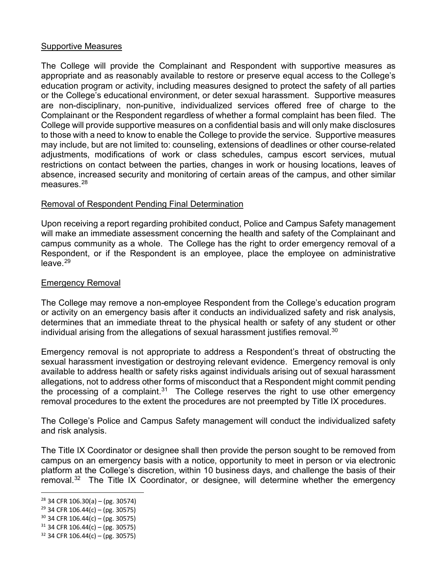#### Supportive Measures

The College will provide the Complainant and Respondent with supportive measures as appropriate and as reasonably available to restore or preserve equal access to the College's education program or activity, including measures designed to protect the safety of all parties or the College's educational environment, or deter sexual harassment. Supportive measures are non-disciplinary, non-punitive, individualized services offered free of charge to the Complainant or the Respondent regardless of whether a formal complaint has been filed. The College will provide supportive measures on a confidential basis and will only make disclosures to those with a need to know to enable the College to provide the service. Supportive measures may include, but are not limited to: counseling, extensions of deadlines or other course-related adjustments, modifications of work or class schedules, campus escort services, mutual restrictions on contact between the parties, changes in work or housing locations, leaves of absence, increased security and monitoring of certain areas of the campus, and other similar measures $28$ 

## Removal of Respondent Pending Final Determination

Upon receiving a report regarding prohibited conduct, Police and Campus Safety management will make an immediate assessment concerning the health and safety of the Complainant and campus community as a whole. The College has the right to order emergency removal of a Respondent, or if the Respondent is an employee, place the employee on administrative  $leave.<sup>29</sup>$  $leave.<sup>29</sup>$  $leave.<sup>29</sup>$ 

## Emergency Removal

The College may remove a non-employee Respondent from the College's education program or activity on an emergency basis after it conducts an individualized safety and risk analysis, determines that an immediate threat to the physical health or safety of any student or other individual arising from the allegations of sexual harassment justifies removal. $30$ 

Emergency removal is not appropriate to address a Respondent's threat of obstructing the sexual harassment investigation or destroying relevant evidence. Emergency removal is only available to address health or safety risks against individuals arising out of sexual harassment allegations, not to address other forms of misconduct that a Respondent might commit pending the processing of a complaint.<sup>31</sup> The College reserves the right to use other emergency removal procedures to the extent the procedures are not preempted by Title IX procedures.

The College's Police and Campus Safety management will conduct the individualized safety and risk analysis.

The Title IX Coordinator or designee shall then provide the person sought to be removed from campus on an emergency basis with a notice, opportunity to meet in person or via electronic platform at the College's discretion, within 10 business days, and challenge the basis of their removal.<sup>32</sup> The Title IX Coordinator, or designee, will determine whether the emergency

<span id="page-6-0"></span> $28$  34 CFR 106.30(a) – (pg. 30574)

<span id="page-6-1"></span> $29$  34 CFR 106.44(c) – (pg. 30575)

<span id="page-6-2"></span> $30$  34 CFR 106.44(c) – (pg. 30575)

<span id="page-6-3"></span> $31$  34 CFR 106.44(c) – (pg. 30575)

<span id="page-6-4"></span> $32$  34 CFR 106.44(c) – (pg. 30575)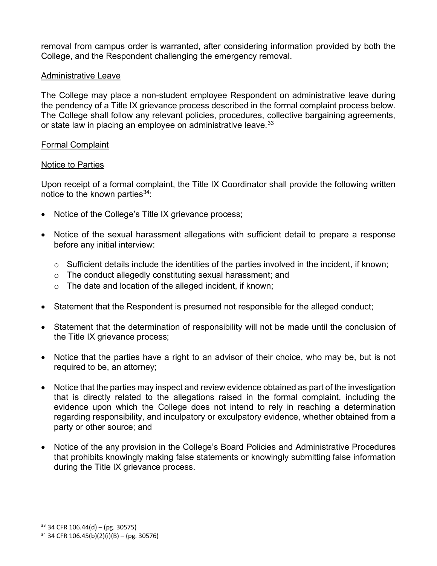removal from campus order is warranted, after considering information provided by both the College, and the Respondent challenging the emergency removal.

#### Administrative Leave

The College may place a non-student employee Respondent on administrative leave during the pendency of a Title IX grievance process described in the formal complaint process below. The College shall follow any relevant policies, procedures, collective bargaining agreements, or state law in placing an employee on administrative leave.<sup>[33](#page-7-0)</sup>

#### Formal Complaint

#### Notice to Parties

Upon receipt of a formal complaint, the Title IX Coordinator shall provide the following written notice to the known parties  $34$ :

- Notice of the College's Title IX grievance process;
- Notice of the sexual harassment allegations with sufficient detail to prepare a response before any initial interview:
	- $\circ$  Sufficient details include the identities of the parties involved in the incident, if known;
	- o The conduct allegedly constituting sexual harassment; and
	- o The date and location of the alleged incident, if known;
- Statement that the Respondent is presumed not responsible for the alleged conduct;
- Statement that the determination of responsibility will not be made until the conclusion of the Title IX grievance process;
- Notice that the parties have a right to an advisor of their choice, who may be, but is not required to be, an attorney;
- Notice that the parties may inspect and review evidence obtained as part of the investigation that is directly related to the allegations raised in the formal complaint, including the evidence upon which the College does not intend to rely in reaching a determination regarding responsibility, and inculpatory or exculpatory evidence, whether obtained from a party or other source; and
- Notice of the any provision in the College's Board Policies and Administrative Procedures that prohibits knowingly making false statements or knowingly submitting false information during the Title IX grievance process.

<span id="page-7-0"></span> $33$  34 CFR 106.44(d) – (pg. 30575)

<span id="page-7-1"></span> $34$  34 CFR 106.45(b)(2)(i)(B) – (pg. 30576)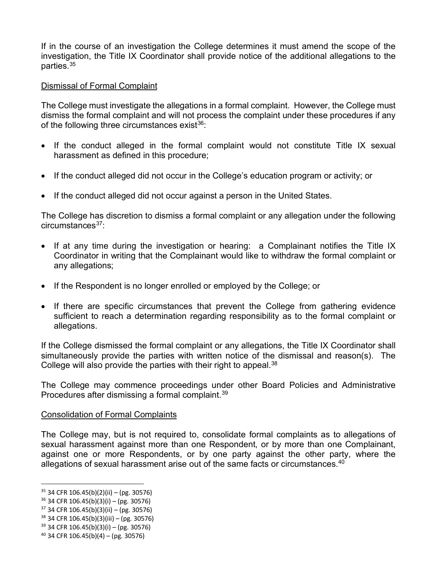If in the course of an investigation the College determines it must amend the scope of the investigation, the Title IX Coordinator shall provide notice of the additional allegations to the parties[.35](#page-8-0)

## Dismissal of Formal Complaint

The College must investigate the allegations in a formal complaint. However, the College must dismiss the formal complaint and will not process the complaint under these procedures if any of the following three circumstances exist $36$ :

- If the conduct alleged in the formal complaint would not constitute Title IX sexual harassment as defined in this procedure;
- If the conduct alleged did not occur in the College's education program or activity; or
- If the conduct alleged did not occur against a person in the United States.

The College has discretion to dismiss a formal complaint or any allegation under the following circumstances[37:](#page-8-2)

- If at any time during the investigation or hearing: a Complainant notifies the Title IX Coordinator in writing that the Complainant would like to withdraw the formal complaint or any allegations;
- If the Respondent is no longer enrolled or employed by the College; or
- If there are specific circumstances that prevent the College from gathering evidence sufficient to reach a determination regarding responsibility as to the formal complaint or allegations.

If the College dismissed the formal complaint or any allegations, the Title IX Coordinator shall simultaneously provide the parties with written notice of the dismissal and reason(s). The College will also provide the parties with their right to appeal.<sup>[38](#page-8-3)</sup>

The College may commence proceedings under other Board Policies and Administrative Procedures after dismissing a formal complaint.<sup>[39](#page-8-4)</sup>

## Consolidation of Formal Complaints

The College may, but is not required to, consolidate formal complaints as to allegations of sexual harassment against more than one Respondent, or by more than one Complainant, against one or more Respondents, or by one party against the other party, where the allegations of sexual harassment arise out of the same facts or circumstances.<sup>[40](#page-8-5)</sup>

<span id="page-8-0"></span> $35$  34 CFR 106.45(b)(2)(ii) – (pg. 30576)

<span id="page-8-1"></span> $36$  34 CFR 106.45(b)(3)(i) – (pg. 30576)

<span id="page-8-2"></span> $37$  34 CFR 106.45(b)(3)(ii) – (pg. 30576)

<span id="page-8-3"></span> $38$  34 CFR 106.45(b)(3)(iii) – (pg. 30576)

<span id="page-8-4"></span> $39$  34 CFR 106.45(b)(3)(i) – (pg. 30576)

<span id="page-8-5"></span> $40$  34 CFR 106.45(b)(4) – (pg. 30576)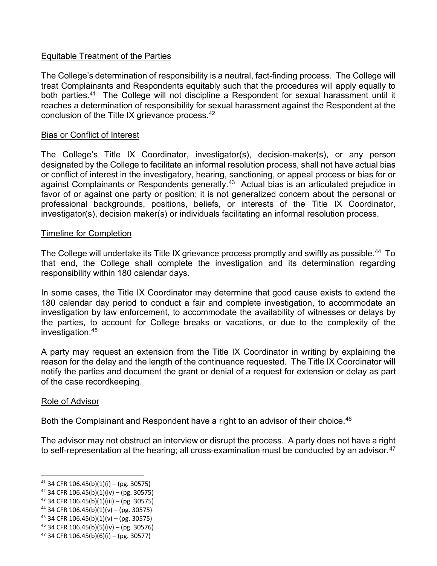## Equitable Treatment of the Parties

The College's determination of responsibility is a neutral, fact-finding process. The College will treat Complainants and Respondents equitably such that the procedures will apply equally to both parties.<sup>[41](#page-9-0)</sup> The College will not discipline a Respondent for sexual harassment until it reaches a determination of responsibility for sexual harassment against the Respondent at the conclusion of the Title IX grievance process.[42](#page-9-1)

#### Bias or Conflict of Interest

The College's Title IX Coordinator, investigator(s), decision-maker(s), or any person designated by the College to facilitate an informal resolution process, shall not have actual bias or conflict of interest in the investigatory, hearing, sanctioning, or appeal process or bias for or against Complainants or Respondents generally.<sup>[43](#page-9-2)</sup> Actual bias is an articulated prejudice in favor of or against one party or position; it is not generalized concern about the personal or professional backgrounds, positions, beliefs, or interests of the Title IX Coordinator, investigator(s), decision maker(s) or individuals facilitating an informal resolution process.

#### Timeline for Completion

The College will undertake its Title IX grievance process promptly and swiftly as possible.<sup>[44](#page-9-3)</sup> To that end, the College shall complete the investigation and its determination regarding responsibility within 180 calendar days.

In some cases, the Title IX Coordinator may determine that good cause exists to extend the 180 calendar day period to conduct a fair and complete investigation, to accommodate an investigation by law enforcement, to accommodate the availability of witnesses or delays by the parties, to account for College breaks or vacations, or due to the complexity of the investigation.[45](#page-9-4)

A party may request an extension from the Title IX Coordinator in writing by explaining the reason for the delay and the length of the continuance requested. The Title IX Coordinator will notify the parties and document the grant or denial of a request for extension or delay as part of the case recordkeeping.

#### Role of Advisor

Both the Complainant and Respondent have a right to an advisor of their choice.<sup>46</sup>

The advisor may not obstruct an interview or disrupt the process. A party does not have a right to self-representation at the hearing; all cross-examination must be conducted by an advisor.  $47$ 

<span id="page-9-0"></span> $41$  34 CFR 106.45(b)(1)(i) – (pg. 30575)

<span id="page-9-1"></span><sup>42</sup> 34 CFR 106.45(b)(1)(iv) – (pg. 30575)

<span id="page-9-2"></span> $43$  34 CFR 106.45(b)(1)(iii) – (pg. 30575)

<span id="page-9-3"></span> $44$  34 CFR 106.45(b)(1)(v) – (pg. 30575)

<span id="page-9-4"></span> $45$  34 CFR 106.45(b)(1)(v) – (pg. 30575)

<span id="page-9-5"></span> $46$  34 CFR 106.45(b)(5)(iv) – (pg. 30576)

<span id="page-9-6"></span> $47$  34 CFR 106.45(b)(6)(i) – (pg. 30577)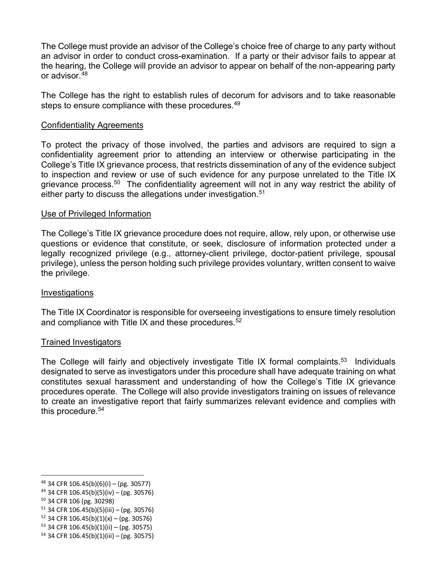The College must provide an advisor of the College's choice free of charge to any party without an advisor in order to conduct cross-examination. If a party or their advisor fails to appear at the hearing, the College will provide an advisor to appear on behalf of the non-appearing party or advisor.[48](#page-10-0)

The College has the right to establish rules of decorum for advisors and to take reasonable steps to ensure compliance with these procedures.<sup>[49](#page-10-1)</sup>

#### Confidentiality Agreements

To protect the privacy of those involved, the parties and advisors are required to sign a confidentiality agreement prior to attending an interview or otherwise participating in the College's Title IX grievance process, that restricts dissemination of any of the evidence subject to inspection and review or use of such evidence for any purpose unrelated to the Title IX grievance process.<sup>[50](#page-10-2)</sup> The confidentiality agreement will not in any way restrict the ability of either party to discuss the allegations under investigation.<sup>[51](#page-10-3)</sup>

#### Use of Privileged Information

The College's Title IX grievance procedure does not require, allow, rely upon, or otherwise use questions or evidence that constitute, or seek, disclosure of information protected under a legally recognized privilege (e.g., attorney-client privilege, doctor-patient privilege, spousal privilege), unless the person holding such privilege provides voluntary, written consent to waive the privilege.

#### **Investigations**

The Title IX Coordinator is responsible for overseeing investigations to ensure timely resolution and compliance with Title IX and these procedures.<sup>[52](#page-10-4)</sup>

#### Trained Investigators

The College will fairly and objectively investigate Title IX formal complaints.<sup>[53](#page-10-5)</sup> Individuals designated to serve as investigators under this procedure shall have adequate training on what constitutes sexual harassment and understanding of how the College's Title IX grievance procedures operate. The College will also provide investigators training on issues of relevance to create an investigative report that fairly summarizes relevant evidence and complies with this procedure.<sup>[54](#page-10-6)</sup>

<span id="page-10-0"></span> $48$  34 CFR 106.45(b)(6)(i) – (pg. 30577)

<span id="page-10-1"></span> $49$  34 CFR 106.45(b)(5)(iv) – (pg. 30576)

<span id="page-10-2"></span><sup>50</sup> 34 CFR 106 (pg. 30298)

<span id="page-10-3"></span> $51$  34 CFR 106.45(b)(5)(iii) – (pg. 30576)

<span id="page-10-4"></span> $52$  34 CFR 106.45(b)(1)(x) – (pg. 30576)

<span id="page-10-5"></span> $53$  34 CFR 106.45(b)(1)(ii) – (pg. 30575)

<span id="page-10-6"></span> $54$  34 CFR 106.45(b)(1)(iii) – (pg. 30575)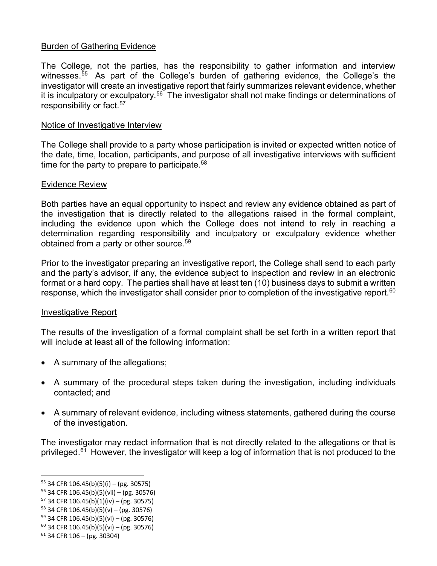## Burden of Gathering Evidence

The College, not the parties, has the responsibility to gather information and interview witnesses.<sup>[55](#page-11-0)</sup> As part of the College's burden of gathering evidence, the College's the investigator will create an investigative report that fairly summarizes relevant evidence, whether it is inculpatory or exculpatory.<sup>[56](#page-11-1)</sup> The investigator shall not make findings or determinations of responsibility or fact.<sup>[57](#page-11-2)</sup>

#### Notice of Investigative Interview

The College shall provide to a party whose participation is invited or expected written notice of the date, time, location, participants, and purpose of all investigative interviews with sufficient time for the party to prepare to participate. $58$ 

#### Evidence Review

Both parties have an equal opportunity to inspect and review any evidence obtained as part of the investigation that is directly related to the allegations raised in the formal complaint, including the evidence upon which the College does not intend to rely in reaching a determination regarding responsibility and inculpatory or exculpatory evidence whether obtained from a party or other source.<sup>[59](#page-11-4)</sup>

Prior to the investigator preparing an investigative report, the College shall send to each party and the party's advisor, if any, the evidence subject to inspection and review in an electronic format or a hard copy. The parties shall have at least ten (10) business days to submit a written response, which the investigator shall consider prior to completion of the investigative report.<sup>[60](#page-11-5)</sup>

#### Investigative Report

The results of the investigation of a formal complaint shall be set forth in a written report that will include at least all of the following information:

- A summary of the allegations;
- A summary of the procedural steps taken during the investigation, including individuals contacted; and
- A summary of relevant evidence, including witness statements, gathered during the course of the investigation.

The investigator may redact information that is not directly related to the allegations or that is privileged.<sup>[61](#page-11-6)</sup> However, the investigator will keep a log of information that is not produced to the

<span id="page-11-0"></span> $55$  34 CFR 106.45(b)(5)(i) – (pg. 30575)

<span id="page-11-1"></span><sup>56</sup> 34 CFR 106.45(b)(5)(vii) – (pg. 30576)

<span id="page-11-2"></span> $57$  34 CFR 106.45(b)(1)(iv) – (pg. 30575)

<span id="page-11-3"></span> $58$  34 CFR 106.45(b)(5)(v) – (pg. 30576)

<span id="page-11-4"></span> $59$  34 CFR 106.45(b)(5)(vi) – (pg. 30576)

<span id="page-11-5"></span> $60$  34 CFR 106.45(b)(5)(vi) – (pg. 30576)

<span id="page-11-6"></span> $61$  34 CFR 106 – (pg. 30304)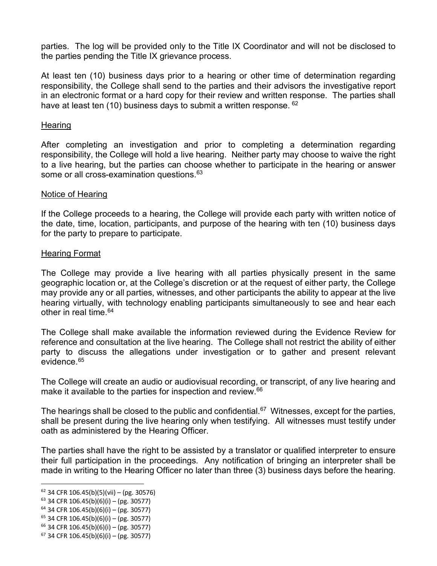parties. The log will be provided only to the Title IX Coordinator and will not be disclosed to the parties pending the Title IX grievance process.

At least ten (10) business days prior to a hearing or other time of determination regarding responsibility, the College shall send to the parties and their advisors the investigative report in an electronic format or a hard copy for their review and written response. The parties shall have at least ten (10) business days to submit a written response. <sup>[62](#page-12-0)</sup>

#### **Hearing**

After completing an investigation and prior to completing a determination regarding responsibility, the College will hold a live hearing. Neither party may choose to waive the right to a live hearing, but the parties can choose whether to participate in the hearing or answer some or all cross-examination questions. [63](#page-12-1)

#### Notice of Hearing

If the College proceeds to a hearing, the College will provide each party with written notice of the date, time, location, participants, and purpose of the hearing with ten (10) business days for the party to prepare to participate.

#### Hearing Format

The College may provide a live hearing with all parties physically present in the same geographic location or, at the College's discretion or at the request of either party, the College may provide any or all parties, witnesses, and other participants the ability to appear at the live hearing virtually, with technology enabling participants simultaneously to see and hear each other in real time  $64$ 

The College shall make available the information reviewed during the Evidence Review for reference and consultation at the live hearing. The College shall not restrict the ability of either party to discuss the allegations under investigation or to gather and present relevant evidence[.65](#page-12-3)

The College will create an audio or audiovisual recording, or transcript, of any live hearing and make it available to the parties for inspection and review.<sup>[66](#page-12-4)</sup>

The hearings shall be closed to the public and confidential.<sup>[67](#page-12-5)</sup> Witnesses, except for the parties, shall be present during the live hearing only when testifying. All witnesses must testify under oath as administered by the Hearing Officer.

The parties shall have the right to be assisted by a translator or qualified interpreter to ensure their full participation in the proceedings. Any notification of bringing an interpreter shall be made in writing to the Hearing Officer no later than three (3) business days before the hearing.

<span id="page-12-0"></span> $62$  34 CFR 106.45(b)(5)(vii) – (pg. 30576)

<span id="page-12-1"></span> $63$  34 CFR 106.45(b)(6)(i) – (pg. 30577)

<span id="page-12-2"></span> $64$  34 CFR 106.45(b)(6)(i) – (pg. 30577)

<span id="page-12-3"></span> $65$  34 CFR 106.45(b)(6)(i) – (pg. 30577)

<span id="page-12-4"></span><sup>66</sup> 34 CFR 106.45(b)(6)(i) – (pg. 30577)

<span id="page-12-5"></span> $67$  34 CFR 106.45(b)(6)(i) – (pg. 30577)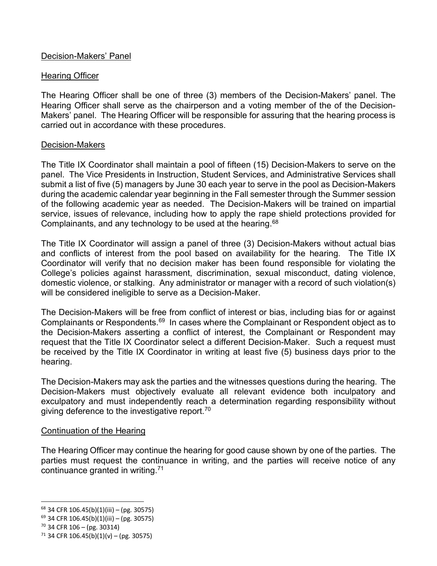## Decision-Makers' Panel

## Hearing Officer

The Hearing Officer shall be one of three (3) members of the Decision-Makers' panel. The Hearing Officer shall serve as the chairperson and a voting member of the of the Decision-Makers' panel. The Hearing Officer will be responsible for assuring that the hearing process is carried out in accordance with these procedures.

## Decision-Makers

The Title IX Coordinator shall maintain a pool of fifteen (15) Decision-Makers to serve on the panel. The Vice Presidents in Instruction, Student Services, and Administrative Services shall submit a list of five (5) managers by June 30 each year to serve in the pool as Decision-Makers during the academic calendar year beginning in the Fall semester through the Summer session of the following academic year as needed. The Decision-Makers will be trained on impartial service, issues of relevance, including how to apply the rape shield protections provided for Complainants, and any technology to be used at the hearing.<sup>[68](#page-13-0)</sup>

The Title IX Coordinator will assign a panel of three (3) Decision-Makers without actual bias and conflicts of interest from the pool based on availability for the hearing. The Title IX Coordinator will verify that no decision maker has been found responsible for violating the College's policies against harassment, discrimination, sexual misconduct, dating violence, domestic violence, or stalking. Any administrator or manager with a record of such violation(s) will be considered ineligible to serve as a Decision-Maker.

The Decision-Makers will be free from conflict of interest or bias, including bias for or against Complainants or Respondents.<sup>69</sup> In cases where the Complainant or Respondent object as to the Decision-Makers asserting a conflict of interest, the Complainant or Respondent may request that the Title IX Coordinator select a different Decision-Maker. Such a request must be received by the Title IX Coordinator in writing at least five (5) business days prior to the hearing.

The Decision-Makers may ask the parties and the witnesses questions during the hearing. The Decision-Makers must objectively evaluate all relevant evidence both inculpatory and exculpatory and must independently reach a determination regarding responsibility without giving deference to the investigative report.<sup>[70](#page-13-2)</sup>

## Continuation of the Hearing

The Hearing Officer may continue the hearing for good cause shown by one of the parties. The parties must request the continuance in writing, and the parties will receive notice of any continuance granted in writing.[71](#page-13-3)

<span id="page-13-0"></span><sup>68</sup> 34 CFR 106.45(b)(1)(iii) – (pg. 30575)

<span id="page-13-1"></span> $69$  34 CFR 106.45(b)(1)(iii) – (pg. 30575)

<span id="page-13-2"></span><sup>70</sup> 34 CFR 106 – (pg. 30314)

<span id="page-13-3"></span> $71$  34 CFR 106.45(b)(1)(v) – (pg. 30575)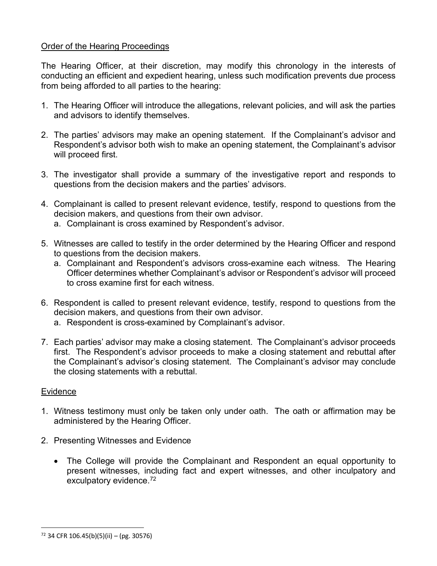## Order of the Hearing Proceedings

The Hearing Officer, at their discretion, may modify this chronology in the interests of conducting an efficient and expedient hearing, unless such modification prevents due process from being afforded to all parties to the hearing:

- 1. The Hearing Officer will introduce the allegations, relevant policies, and will ask the parties and advisors to identify themselves.
- 2. The parties' advisors may make an opening statement. If the Complainant's advisor and Respondent's advisor both wish to make an opening statement, the Complainant's advisor will proceed first.
- 3. The investigator shall provide a summary of the investigative report and responds to questions from the decision makers and the parties' advisors.
- 4. Complainant is called to present relevant evidence, testify, respond to questions from the decision makers, and questions from their own advisor.
	- a. Complainant is cross examined by Respondent's advisor.
- 5. Witnesses are called to testify in the order determined by the Hearing Officer and respond to questions from the decision makers.
	- a. Complainant and Respondent's advisors cross-examine each witness. The Hearing Officer determines whether Complainant's advisor or Respondent's advisor will proceed to cross examine first for each witness.
- 6. Respondent is called to present relevant evidence, testify, respond to questions from the decision makers, and questions from their own advisor.
	- a. Respondent is cross-examined by Complainant's advisor.
- 7. Each parties' advisor may make a closing statement. The Complainant's advisor proceeds first. The Respondent's advisor proceeds to make a closing statement and rebuttal after the Complainant's advisor's closing statement. The Complainant's advisor may conclude the closing statements with a rebuttal.

## Evidence

- 1. Witness testimony must only be taken only under oath. The oath or affirmation may be administered by the Hearing Officer.
- 2. Presenting Witnesses and Evidence
	- The College will provide the Complainant and Respondent an equal opportunity to present witnesses, including fact and expert witnesses, and other inculpatory and exculpatory evidence.[72](#page-14-0)

<span id="page-14-0"></span> $72$  34 CFR 106.45(b)(5)(ii) – (pg. 30576)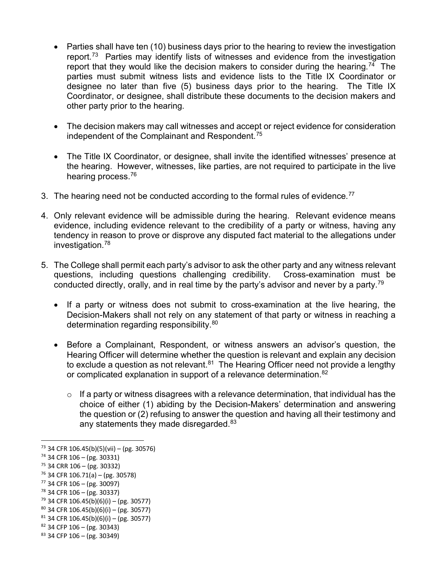- Parties shall have ten (10) business days prior to the hearing to review the investigation report.[73](#page-15-0) Parties may identify lists of witnesses and evidence from the investigation report that they would like the decision makers to consider during the hearing.<sup>[74](#page-15-1)</sup> The parties must submit witness lists and evidence lists to the Title IX Coordinator or designee no later than five (5) business days prior to the hearing. The Title IX Coordinator, or designee, shall distribute these documents to the decision makers and other party prior to the hearing.
- The decision makers may call witnesses and accept or reject evidence for consideration independent of the Complainant and Respondent.<sup>[75](#page-15-2)</sup>
- The Title IX Coordinator, or designee, shall invite the identified witnesses' presence at the hearing. However, witnesses, like parties, are not required to participate in the live hearing process.[76](#page-15-3)
- 3. The hearing need not be conducted according to the formal rules of evidence.<sup>[77](#page-15-4)</sup>
- 4. Only relevant evidence will be admissible during the hearing. Relevant evidence means evidence, including evidence relevant to the credibility of a party or witness, having any tendency in reason to prove or disprove any disputed fact material to the allegations under investigation.[78](#page-15-5)
- 5. The College shall permit each party's advisor to ask the other party and any witness relevant questions, including questions challenging credibility. Cross-examination must be conducted directly, orally, and in real time by the party's advisor and never by a party.<sup>79</sup>
	- If a party or witness does not submit to cross-examination at the live hearing, the Decision-Makers shall not rely on any statement of that party or witness in reaching a determination regarding responsibility.<sup>80</sup>
	- Before a Complainant, Respondent, or witness answers an advisor's question, the Hearing Officer will determine whether the question is relevant and explain any decision to exclude a question as not relevant. $81$  The Hearing Officer need not provide a lengthy or complicated explanation in support of a relevance determination.<sup>[82](#page-15-9)</sup>
		- $\circ$  If a party or witness disagrees with a relevance determination, that individual has the choice of either (1) abiding by the Decision-Makers' determination and answering the question or (2) refusing to answer the question and having all their testimony and any statements they made disregarded. $83$

<span id="page-15-0"></span> $73$  34 CFR 106.45(b)(5)(vii) – (pg. 30576)

<span id="page-15-1"></span> $74$  34 CFR 106 – (pg. 30331)

<span id="page-15-2"></span> $75$  34 CRR 106 – (pg. 30332)

<span id="page-15-3"></span> $76$  34 CFR 106.71(a) – (pg. 30578)

<span id="page-15-4"></span> $77$  34 CFR 106 – (pg. 30097)

<span id="page-15-5"></span><sup>78</sup> 34 CFR 106 – (pg. 30337)

<span id="page-15-6"></span> $79$  34 CFR 106.45(b)(6)(i) – (pg. 30577)

<span id="page-15-7"></span> $80$  34 CFR 106.45(b)(6)(i) – (pg. 30577)

<span id="page-15-8"></span> $81$  34 CFR 106.45(b)(6)(i) – (pg. 30577)<br> $82$  34 CFP 106 – (pg. 30343)

<span id="page-15-9"></span>

<span id="page-15-10"></span> $83$  34 CFP 106 – (pg. 30349)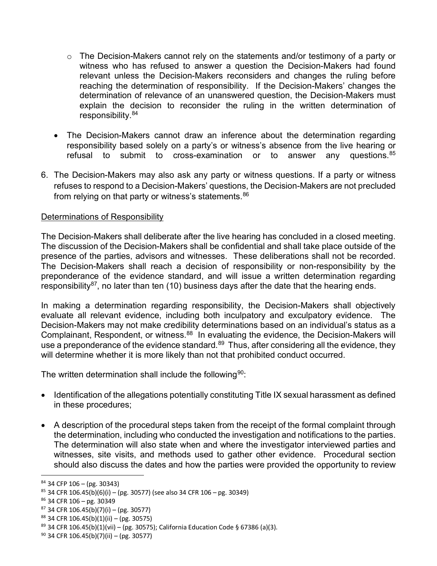- o The Decision-Makers cannot rely on the statements and/or testimony of a party or witness who has refused to answer a question the Decision-Makers had found relevant unless the Decision-Makers reconsiders and changes the ruling before reaching the determination of responsibility. If the Decision-Makers' changes the determination of relevance of an unanswered question, the Decision-Makers must explain the decision to reconsider the ruling in the written determination of responsibility.[84](#page-16-0)
- The Decision-Makers cannot draw an inference about the determination regarding responsibility based solely on a party's or witness's absence from the live hearing or refusal to submit to cross-examination or to answer any questions.<sup>[85](#page-16-1)</sup>
- 6. The Decision-Makers may also ask any party or witness questions. If a party or witness refuses to respond to a Decision-Makers' questions, the Decision-Makers are not precluded from relying on that party or witness's statements.<sup>[86](#page-16-2)</sup>

## Determinations of Responsibility

The Decision-Makers shall deliberate after the live hearing has concluded in a closed meeting. The discussion of the Decision-Makers shall be confidential and shall take place outside of the presence of the parties, advisors and witnesses. These deliberations shall not be recorded. The Decision-Makers shall reach a decision of responsibility or non-responsibility by the preponderance of the evidence standard, and will issue a written determination regarding responsibility<sup>87</sup>, no later than ten (10) business days after the date that the hearing ends.

In making a determination regarding responsibility, the Decision-Makers shall objectively evaluate all relevant evidence, including both inculpatory and exculpatory evidence. The Decision-Makers may not make credibility determinations based on an individual's status as a Complainant, Respondent, or witness.<sup>[88](#page-16-4)</sup> In evaluating the evidence, the Decision-Makers will use a preponderance of the evidence standard.<sup>[89](#page-16-5)</sup> Thus, after considering all the evidence, they will determine whether it is more likely than not that prohibited conduct occurred.

The written determination shall include the following  $90$ :

- Identification of the allegations potentially constituting Title IX sexual harassment as defined in these procedures;
- A description of the procedural steps taken from the receipt of the formal complaint through the determination, including who conducted the investigation and notifications to the parties. The determination will also state when and where the investigator interviewed parties and witnesses, site visits, and methods used to gather other evidence. Procedural section should also discuss the dates and how the parties were provided the opportunity to review

<span id="page-16-0"></span><sup>84</sup> 34 CFP 106 – (pg. 30343)

<span id="page-16-1"></span> $85$  34 CFR 106.45(b)(6)(i) – (pg. 30577) (see also 34 CFR 106 – pg. 30349)

<span id="page-16-2"></span><sup>86</sup> 34 CFR 106 – pg. 30349

<span id="page-16-3"></span> $87$  34 CFR 106.45(b)(7)(i) – (pg. 30577)

<span id="page-16-4"></span> $88$  34 CFR 106.45(b)(1)(ii) – (pg. 30575)

<span id="page-16-5"></span><sup>&</sup>lt;sup>89</sup> 34 CFR 106.45(b)(1)(vii) – (pg. 30575); California Education Code § 67386 (a)(3).<br><sup>90</sup> 34 CFR 106.45(b)(7)(ii) – (pg. 30577)

<span id="page-16-6"></span>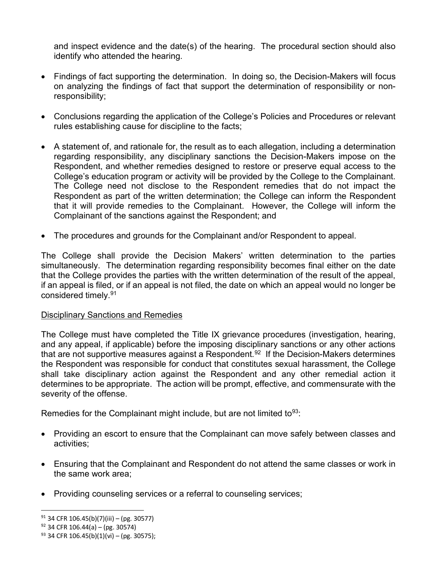and inspect evidence and the date(s) of the hearing. The procedural section should also identify who attended the hearing.

- Findings of fact supporting the determination. In doing so, the Decision-Makers will focus on analyzing the findings of fact that support the determination of responsibility or nonresponsibility;
- Conclusions regarding the application of the College's Policies and Procedures or relevant rules establishing cause for discipline to the facts;
- A statement of, and rationale for, the result as to each allegation, including a determination regarding responsibility, any disciplinary sanctions the Decision-Makers impose on the Respondent, and whether remedies designed to restore or preserve equal access to the College's education program or activity will be provided by the College to the Complainant. The College need not disclose to the Respondent remedies that do not impact the Respondent as part of the written determination; the College can inform the Respondent that it will provide remedies to the Complainant. However, the College will inform the Complainant of the sanctions against the Respondent; and
- The procedures and grounds for the Complainant and/or Respondent to appeal.

The College shall provide the Decision Makers' written determination to the parties simultaneously. The determination regarding responsibility becomes final either on the date that the College provides the parties with the written determination of the result of the appeal, if an appeal is filed, or if an appeal is not filed, the date on which an appeal would no longer be considered timely.[91](#page-17-0)

## Disciplinary Sanctions and Remedies

The College must have completed the Title IX grievance procedures (investigation, hearing, and any appeal, if applicable) before the imposing disciplinary sanctions or any other actions that are not supportive measures against a Respondent.<sup>[92](#page-17-1)</sup> If the Decision-Makers determines the Respondent was responsible for conduct that constitutes sexual harassment, the College shall take disciplinary action against the Respondent and any other remedial action it determines to be appropriate. The action will be prompt, effective, and commensurate with the severity of the offense.

Remedies for the Complainant might include, but are not limited to  $93$ .

- Providing an escort to ensure that the Complainant can move safely between classes and activities;
- Ensuring that the Complainant and Respondent do not attend the same classes or work in the same work area;
- Providing counseling services or a referral to counseling services;

<span id="page-17-0"></span> $91$  34 CFR 106.45(b)(7)(iii) – (pg. 30577)

<span id="page-17-1"></span> $92$  34 CFR 106.44(a) – (pg. 30574)

<span id="page-17-2"></span> $93$  34 CFR 106.45(b)(1)(vi) – (pg. 30575);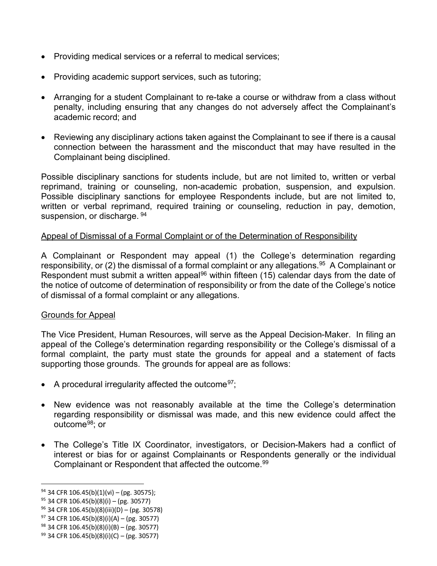- Providing medical services or a referral to medical services;
- Providing academic support services, such as tutoring;
- Arranging for a student Complainant to re-take a course or withdraw from a class without penalty, including ensuring that any changes do not adversely affect the Complainant's academic record; and
- Reviewing any disciplinary actions taken against the Complainant to see if there is a causal connection between the harassment and the misconduct that may have resulted in the Complainant being disciplined.

Possible disciplinary sanctions for students include, but are not limited to, written or verbal reprimand, training or counseling, non-academic probation, suspension, and expulsion. Possible disciplinary sanctions for employee Respondents include, but are not limited to, written or verbal reprimand, required training or counseling, reduction in pay, demotion, suspension, or discharge. [94](#page-18-0)

## Appeal of Dismissal of a Formal Complaint or of the Determination of Responsibility

A Complainant or Respondent may appeal (1) the College's determination regarding responsibility, or (2) the dismissal of a formal complaint or any allegations.<sup>95</sup> A Complainant or Respondent must submit a written appeal<sup>[96](#page-18-2)</sup> within fifteen (15) calendar days from the date of the notice of outcome of determination of responsibility or from the date of the College's notice of dismissal of a formal complaint or any allegations.

## Grounds for Appeal

The Vice President, Human Resources, will serve as the Appeal Decision-Maker. In filing an appeal of the College's determination regarding responsibility or the College's dismissal of a formal complaint, the party must state the grounds for appeal and a statement of facts supporting those grounds. The grounds for appeal are as follows:

- A procedural irregularity affected the outcome  $97$ ;
- New evidence was not reasonably available at the time the College's determination regarding responsibility or dismissal was made, and this new evidence could affect the outcome<sup>98</sup>; or
- The College's Title IX Coordinator, investigators, or Decision-Makers had a conflict of interest or bias for or against Complainants or Respondents generally or the individual Complainant or Respondent that affected the outcome.<sup>[99](#page-18-5)</sup>

<span id="page-18-0"></span><sup>94</sup> 34 CFR 106.45(b)(1)(vi) – (pg. 30575);

<span id="page-18-1"></span> $95$  34 CFR 106.45(b)(8)(i) – (pg. 30577)

<span id="page-18-2"></span> $96$  34 CFR 106.45(b)(8)(iii)(D) – (pg. 30578)

<span id="page-18-3"></span> $97$  34 CFR 106.45(b)(8)(i)(A) – (pg. 30577)

<span id="page-18-4"></span><sup>98</sup> 34 CFR 106.45(b)(8)(i)(B) – (pg. 30577)

<span id="page-18-5"></span> $99$  34 CFR 106.45(b)(8)(i)(C) – (pg. 30577)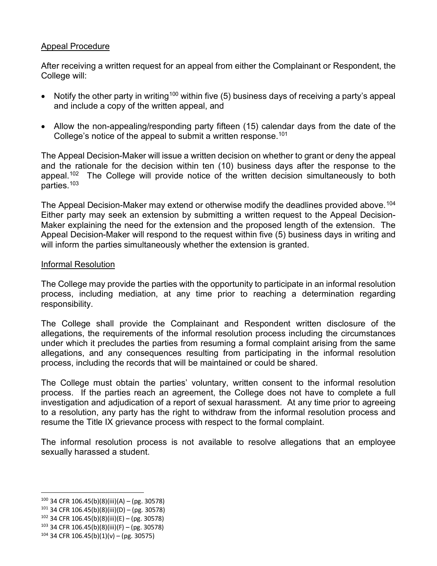## Appeal Procedure

After receiving a written request for an appeal from either the Complainant or Respondent, the College will:

- Notify the other party in writing<sup>[100](#page-19-0)</sup> within five (5) business days of receiving a party's appeal and include a copy of the written appeal, and
- Allow the non-appealing/responding party fifteen (15) calendar days from the date of the College's notice of the appeal to submit a written response.<sup>[101](#page-19-1)</sup>

The Appeal Decision-Maker will issue a written decision on whether to grant or deny the appeal and the rationale for the decision within ten (10) business days after the response to the appeal.<sup>102</sup> The College will provide notice of the written decision simultaneously to both parties[.103](#page-19-3)

The Appeal Decision-Maker may extend or otherwise modify the deadlines provided above.<sup>[104](#page-19-4)</sup> Either party may seek an extension by submitting a written request to the Appeal Decision-Maker explaining the need for the extension and the proposed length of the extension. The Appeal Decision-Maker will respond to the request within five (5) business days in writing and will inform the parties simultaneously whether the extension is granted.

#### Informal Resolution

The College may provide the parties with the opportunity to participate in an informal resolution process, including mediation, at any time prior to reaching a determination regarding responsibility.

The College shall provide the Complainant and Respondent written disclosure of the allegations, the requirements of the informal resolution process including the circumstances under which it precludes the parties from resuming a formal complaint arising from the same allegations, and any consequences resulting from participating in the informal resolution process, including the records that will be maintained or could be shared.

The College must obtain the parties' voluntary, written consent to the informal resolution process. If the parties reach an agreement, the College does not have to complete a full investigation and adjudication of a report of sexual harassment. At any time prior to agreeing to a resolution, any party has the right to withdraw from the informal resolution process and resume the Title IX grievance process with respect to the formal complaint.

The informal resolution process is not available to resolve allegations that an employee sexually harassed a student.

<span id="page-19-0"></span> $100$  34 CFR 106.45(b)(8)(iii)(A) – (pg. 30578)

<span id="page-19-1"></span> $101$  34 CFR 106.45(b)(8)(iii)(D) – (pg. 30578)

<span id="page-19-2"></span><sup>102</sup> 34 CFR 106.45(b)(8)(iii)(E) – (pg. 30578)

<span id="page-19-3"></span> $103$  34 CFR 106.45(b)(8)(iii)(F) – (pg. 30578)

<span id="page-19-4"></span> $104$  34 CFR 106.45(b)(1)(v) – (pg. 30575)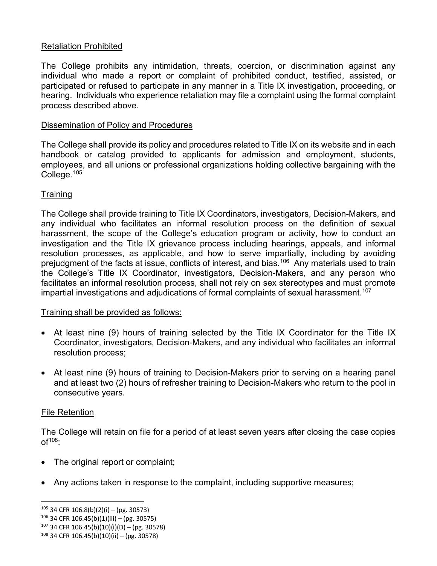## Retaliation Prohibited

The College prohibits any intimidation, threats, coercion, or discrimination against any individual who made a report or complaint of prohibited conduct, testified, assisted, or participated or refused to participate in any manner in a Title IX investigation, proceeding, or hearing. Individuals who experience retaliation may file a complaint using the formal complaint process described above.

## Dissemination of Policy and Procedures

The College shall provide its policy and procedures related to Title IX on its website and in each handbook or catalog provided to applicants for admission and employment, students, employees, and all unions or professional organizations holding collective bargaining with the College.[105](#page-20-0)

## **Training**

The College shall provide training to Title IX Coordinators, investigators, Decision-Makers, and any individual who facilitates an informal resolution process on the definition of sexual harassment, the scope of the College's education program or activity, how to conduct an investigation and the Title IX grievance process including hearings, appeals, and informal resolution processes, as applicable, and how to serve impartially, including by avoiding prejudgment of the facts at issue, conflicts of interest, and bias.<sup>106</sup> Any materials used to train the College's Title IX Coordinator, investigators, Decision-Makers, and any person who facilitates an informal resolution process, shall not rely on sex stereotypes and must promote impartial investigations and adjudications of formal complaints of sexual harassment.<sup>[107](#page-20-2)</sup>

## Training shall be provided as follows:

- At least nine (9) hours of training selected by the Title IX Coordinator for the Title IX Coordinator, investigators, Decision-Makers, and any individual who facilitates an informal resolution process;
- At least nine (9) hours of training to Decision-Makers prior to serving on a hearing panel and at least two (2) hours of refresher training to Decision-Makers who return to the pool in consecutive years.

## File Retention

The College will retain on file for a period of at least seven years after closing the case copies  $of<sup>108</sup>$  $of<sup>108</sup>$  $of<sup>108</sup>$ :

- The original report or complaint;
- Any actions taken in response to the complaint, including supportive measures;

<span id="page-20-0"></span> $105$  34 CFR 106.8(b)(2)(i) – (pg. 30573)

<span id="page-20-1"></span> $106$  34 CFR 106.45(b)(1)(iii) – (pg. 30575)

<span id="page-20-2"></span> $107$  34 CFR 106.45(b)(10)(i)(D) – (pg. 30578)

<span id="page-20-3"></span> $108$  34 CFR 106.45(b)(10)(ii) – (pg. 30578)